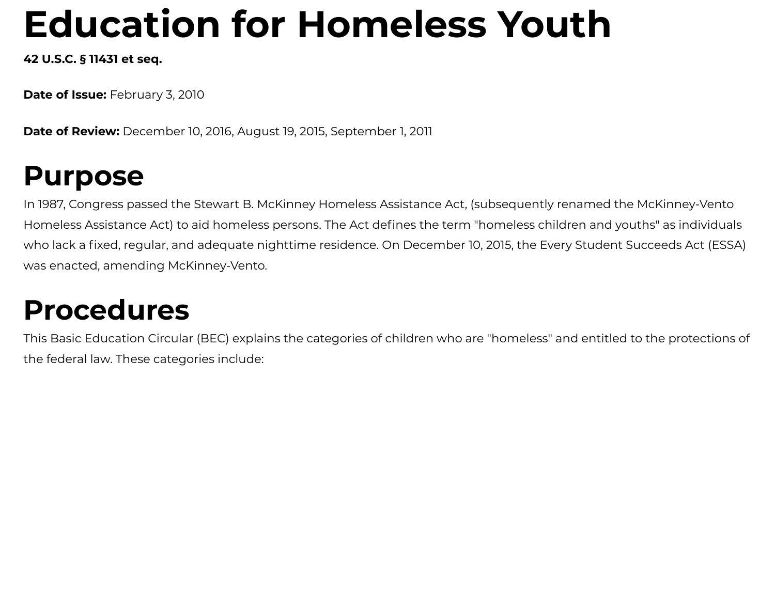# **Education for Homeless Youth**

**42 U.S.C. § 11431 et seq.**

**Date of Issue:** February 3, 2010

**Date of Review:** December 10, 2016, August 19, 2015, September 1, 2011

## **Purpose**

In 1987, Congress passed the Stewart B. McKinney Homeless Assistance Act, (subsequently renamed the McKinney-Vento Homeless Assistance Act) to aid homeless persons. The Act defines the term "homeless children and youths" as individuals who lack a fixed, regular, and adequate nighttime residence. On December 10, 2015, the Every Student Succeeds Act (ESSA) was enacted, amending McKinney-Vento.

## **Procedures**

This Basic Education Circular (BEC) explains the categories of children who are "homeless" and entitled to the protections of the federal law. These categories include: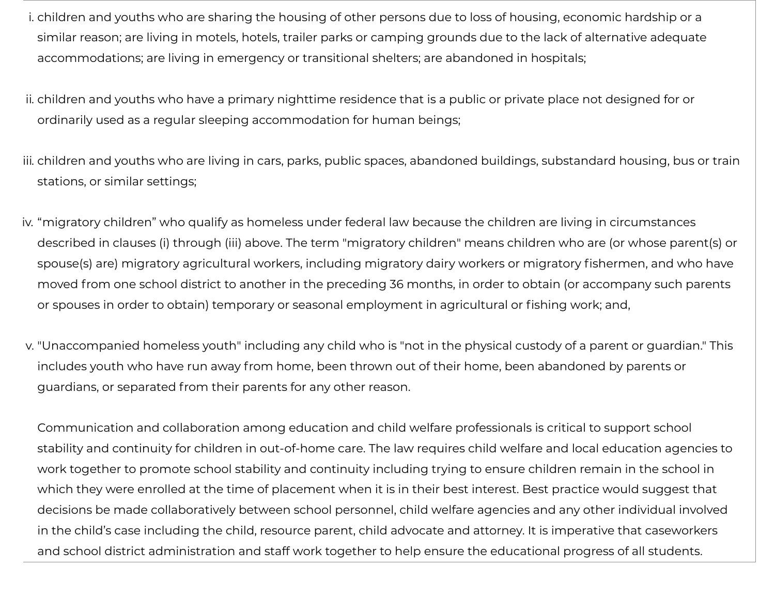- i. children and youths who are sharing the housing of other persons due to loss of housing, economic hardship or a similar reason; are living in motels, hotels, trailer parks or camping grounds due to the lack of alternative adequate accommodations; are living in emergency or transitional shelters; are abandoned in hospitals;
- ii. children and youths who have a primary nighttime residence that is a public or private place not designed for or ordinarily used as a regular sleeping accommodation for human beings;
- iii. children and youths who are living in cars, parks, public spaces, abandoned buildings, substandard housing, bus or train stations, or similar settings;
- iv. "migratory children" who qualify as homeless under federal law because the children are living in circumstances described in clauses (i) through (iii) above. The term "migratory children" means children who are (or whose parent(s) or spouse(s) are) migratory agricultural workers, including migratory dairy workers or migratory fishermen, and who have moved from one school district to another in the preceding 36 months, in order to obtain (or accompany such parents or spouses in order to obtain) temporary or seasonal employment in agricultural or fishing work; and,
- v. "Unaccompanied homeless youth" including any child who is "not in the physical custody of a parent or guardian." This includes youth who have run away from home, been thrown out of their home, been abandoned by parents or guardians, or separated from their parents for any other reason.

Communication and collaboration among education and child welfare professionals is critical to support school stability and continuity for children in out-of-home care. The law requires child welfare and local education agencies to work together to promote school stability and continuity including trying to ensure children remain in the school in which they were enrolled at the time of placement when it is in their best interest. Best practice would suggest that decisions be made collaboratively between school personnel, child welfare agencies and any other individual involved in the child's case including the child, resource parent, child advocate and attorney. It is imperative that caseworkers and school district administration and staff work together to help ensure the educational progress of all students.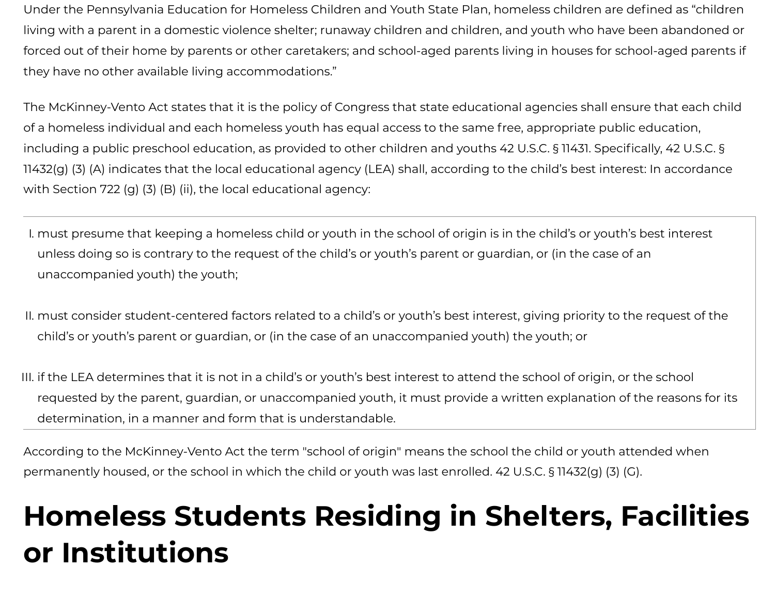Under the Pennsylvania Education for Homeless Children and Youth State Plan, homeless children are defined as "children living with a parent in a domestic violence shelter; runaway children and children, and youth who have been abandoned or forced out of their home by parents or other caretakers; and school-aged parents living in houses for school-aged parents if they have no other available living accommodations."

The McKinney-Vento Act states that it is the policy of Congress that state educational agencies shall ensure that each child of a homeless individual and each homeless youth has equal access to the same free, appropriate public education, including a public preschool education, as provided to other children and youths 42 U.S.C. § 11431. Specifically, 42 U.S.C. § 11432(g) (3) (A) indicates that the local educational agency (LEA) shall, according to the child's best interest: In accordance with Section 722 (g) (3) (B) (ii), the local educational agency:

- I. must presume that keeping a homeless child or youth in the school of origin is in the child's or youth's best interest unless doing so is contrary to the request of the child's or youth's parent or guardian, or (in the case of an unaccompanied youth) the youth;
- II. must consider student-centered factors related to a child's or youth's best interest, giving priority to the request of the child's or youth's parent or guardian, or (in the case of an unaccompanied youth) the youth; or
- III. if the LEA determines that it is not in a child's or youth's best interest to attend the school of origin, or the school requested by the parent, guardian, or unaccompanied youth, it must provide a written explanation of the reasons for its determination, in a manner and form that is understandable.

According to the McKinney-Vento Act the term "school of origin" means the school the child or youth attended when permanently housed, or the school in which the child or youth was last enrolled. 42 U.S.C. § 11432(g) (3) (G).

# **Homeless Students Residing in Shelters, Facilities or Institutions**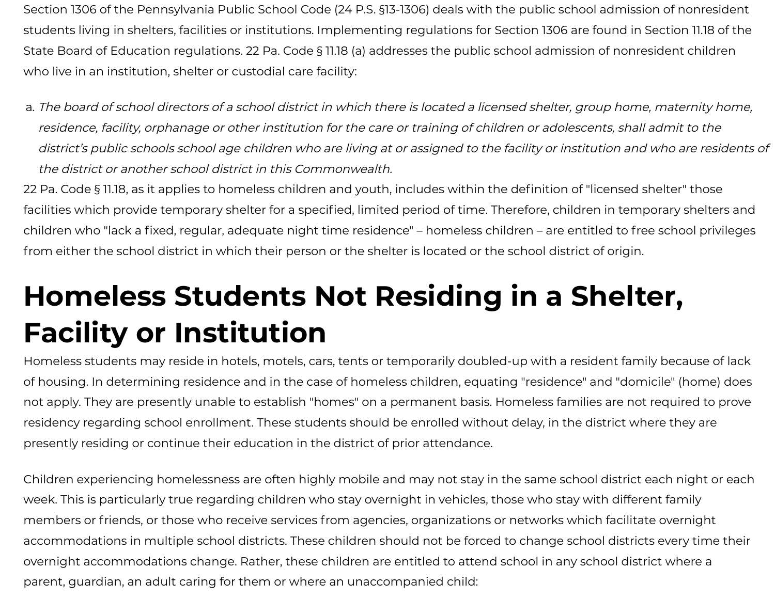Section 1306 of the Pennsylvania Public School Code (24 P.S. §13-1306) deals with the public school admission of nonresident students living in shelters, facilities or institutions. Implementing regulations for Section 1306 are found in Section 11.18 of the State Board of Education regulations. 22 Pa. Code § 11.18 (a) addresses the public school admission of nonresident children who live in an institution, shelter or custodial care facility:

a. The board of school directors of <sup>a</sup> school district in which there is located <sup>a</sup> licensed shelter, group home, maternity home, residence, facility, orphanage or other institution for the care or training of children or adolescents, shall admit to the district's public schools school age children who are living at or assigned to the facility or institution and who are residents of the district or another school district in this Commonwealth.

22 Pa. Code § 11.18, as it applies to homeless children and youth, includes within the definition of "licensed shelter" those facilities which provide temporary shelter for a specified, limited period of time. Therefore, children in temporary shelters and children who "lack a fixed, regular, adequate night time residence" – homeless children – are entitled to free school privileges from either the school district in which their person or the shelter is located or the school district of origin.

# **Homeless Students Not Residing in a Shelter, Facility or Institution**

Homeless students may reside in hotels, motels, cars, tents or temporarily doubled-up with a resident family because of lack of housing. In determining residence and in the case of homeless children, equating "residence" and "domicile" (home) does not apply. They are presently unable to establish "homes" on a permanent basis. Homeless families are not required to prove residency regarding school enrollment. These students should be enrolled without delay, in the district where they are presently residing or continue their education in the district of prior attendance.

Children experiencing homelessness are often highly mobile and may not stay in the same school district each night or each week. This is particularly true regarding children who stay overnight in vehicles, those who stay with different family members or friends, or those who receive services from agencies, organizations or networks which facilitate overnight accommodations in multiple school districts. These children should not be forced to change school districts every time their overnight accommodations change. Rather, these children are entitled to attend school in any school district where a parent, guardian, an adult caring for them or where an unaccompanied child: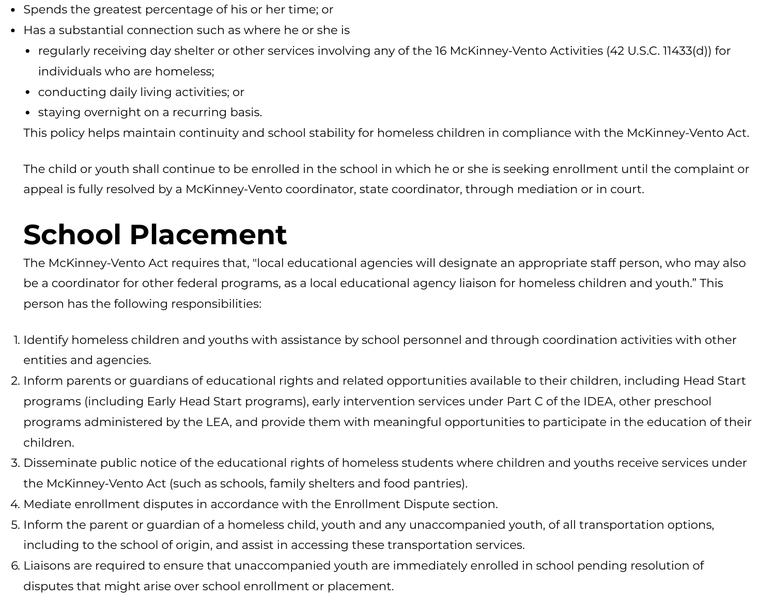- Spends the greatest percentage of his or her time; or
- Has a substantial connection such as where he or she is
	- regularly receiving day shelter or other services involving any of the 16 McKinney-Vento Activities (42 U.S.C. 11433(d)) for individuals who are homeless;
	- conducting daily living activities; or
	- staying overnight on a recurring basis.

This policy helps maintain continuity and school stability for homeless children in compliance with the McKinney-Vento Act.

The child or youth shall continue to be enrolled in the school in which he or she is seeking enrollment until the complaint or appeal is fully resolved by a McKinney-Vento coordinator, state coordinator, through mediation or in court.

# **School Placement**

The McKinney-Vento Act requires that, "local educational agencies will designate an appropriate staff person, who may also be a coordinator for other federal programs, as a local educational agency liaison for homeless children and youth." This person has the following responsibilities:

- 1. Identify homeless children and youths with assistance by school personnel and through coordination activities with other entities and agencies.
- 2. Inform parents or guardians of educational rights and related opportunities available to their children, including Head Start programs (including Early Head Start programs), early intervention services under Part C of the IDEA, other preschool programs administered by the LEA, and provide them with meaningful opportunities to participate in the education of their children.
- 3. Disseminate public notice of the educational rights of homeless students where children and youths receive services under the McKinney-Vento Act (such as schools, family shelters and food pantries).
- 4. Mediate enrollment disputes in accordance with the Enrollment Dispute section.
- 5. Inform the parent or guardian of a homeless child, youth and any unaccompanied youth, of all transportation options, including to the school of origin, and assist in accessing these transportation services.
- 6. Liaisons are required to ensure that unaccompanied youth are immediately enrolled in school pending resolution of disputes that might arise over school enrollment or placement.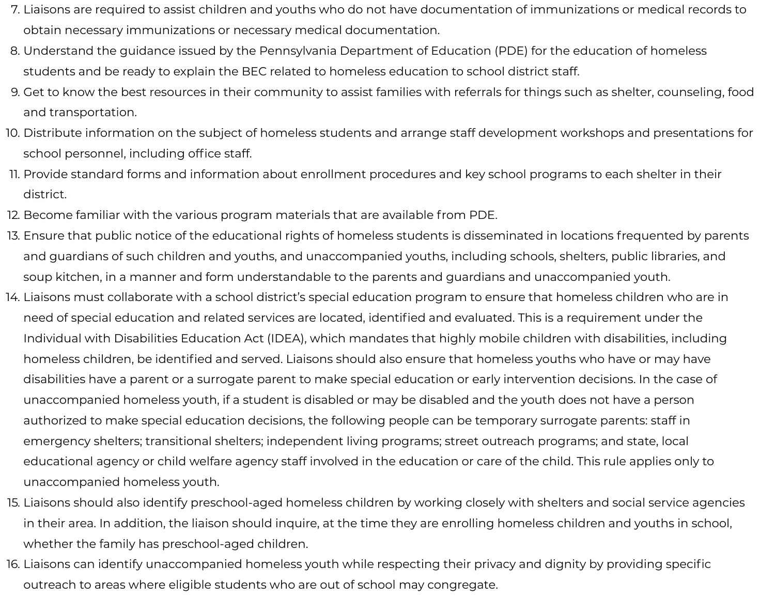- 7. Liaisons are required to assist children and youths who do not have documentation of immunizations or medical records to obtain necessary immunizations or necessary medical documentation.
- 8. Understand the guidance issued by the Pennsylvania Department of Education (PDE) for the education of homeless students and be ready to explain the BEC related to homeless education to school district staff.
- 9. Get to know the best resources in their community to assist families with referrals for things such as shelter, counseling, food and transportation.
- 10. Distribute information on the subject of homeless students and arrange staff development workshops and presentations for school personnel, including office staff.
- 11. Provide standard forms and information about enrollment procedures and key school programs to each shelter in their district.
- 12. Become familiar with the various program materials that are available from PDE.
- 13. Ensure that public notice of the educational rights of homeless students is disseminated in locations frequented by parents and guardians of such children and youths, and unaccompanied youths, including schools, shelters, public libraries, and soup kitchen, in a manner and form understandable to the parents and guardians and unaccompanied youth.
- 14. Liaisons must collaborate with a school district's special education program to ensure that homeless children who are in need of special education and related services are located, identified and evaluated. This is a requirement under the Individual with Disabilities Education Act (IDEA), which mandates that highly mobile children with disabilities, including homeless children, be identified and served. Liaisons should also ensure that homeless youths who have or may have disabilities have a parent or a surrogate parent to make special education or early intervention decisions. In the case of unaccompanied homeless youth, if a student is disabled or may be disabled and the youth does not have a person authorized to make special education decisions, the following people can be temporary surrogate parents: staff in emergency shelters; transitional shelters; independent living programs; street outreach programs; and state, local educational agency or child welfare agency staff involved in the education or care of the child. This rule applies only to unaccompanied homeless youth.
- 15. Liaisons should also identify preschool-aged homeless children by working closely with shelters and social service agencies in their area. In addition, the liaison should inquire, at the time they are enrolling homeless children and youths in school, whether the family has preschool-aged children.
- 16. Liaisons can identify unaccompanied homeless youth while respecting their privacy and dignity by providing specific outreach to areas where eligible students who are out of school may congregate.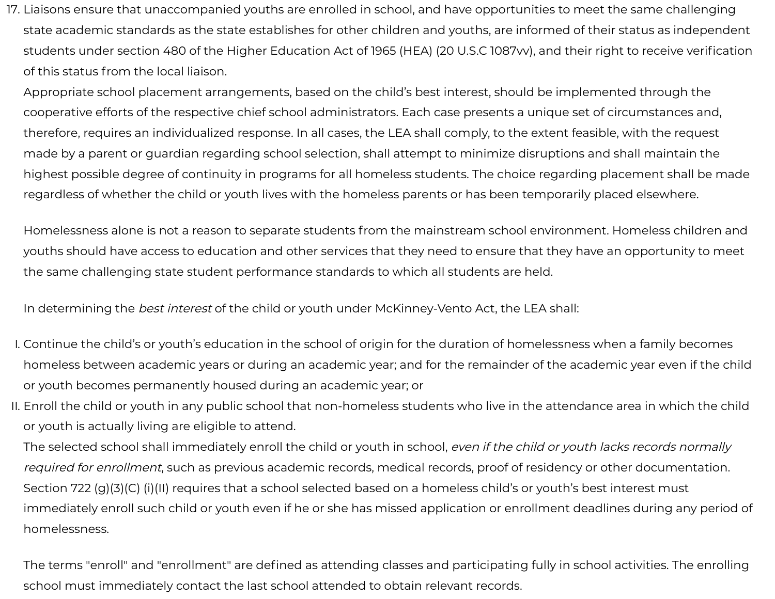17. Liaisons ensure that unaccompanied youths are enrolled in school, and have opportunities to meet the same challenging state academic standards as the state establishes for other children and youths, are informed of their status as independent students under section 480 of the Higher Education Act of 1965 (HEA) (20 U.S.C 1087w), and their right to receive verification of this status from the local liaison.

Appropriate school placement arrangements, based on the child's best interest, should be implemented through the cooperative efforts of the respective chief school administrators. Each case presents a unique set of circumstances and, therefore, requires an individualized response. In all cases, the LEA shall comply, to the extent feasible, with the request made by a parent or guardian regarding school selection, shall attempt to minimize disruptions and shall maintain the highest possible degree of continuity in programs for all homeless students. The choice regarding placement shall be made regardless of whether the child or youth lives with the homeless parents or has been temporarily placed elsewhere.

Homelessness alone is not a reason to separate students from the mainstream school environment. Homeless children and youths should have access to education and other services that they need to ensure that they have an opportunity to meet the same challenging state student performance standards to which all students are held.

In determining the best interest of the child or youth under McKinney-Vento Act, the LEA shall:

- I. Continue the child's or youth's education in the school of origin for the duration of homelessness when a family becomes homeless between academic years or during an academic year; and for the remainder of the academic year even if the child or youth becomes permanently housed during an academic year; or
- II. Enroll the child or youth in any public school that non-homeless students who live in the attendance area in which the child or youth is actually living are eligible to attend.

The selected school shall immediately enroll the child or youth in school, even if the child or youth lacks records normally required for enrollment, such as previous academic records, medical records, proof of residency or other documentation. Section 722 (g)(3)(C) (i)(II) requires that a school selected based on a homeless child's or youth's best interest must immediately enroll such child or youth even if he or she has missed application or enrollment deadlines during any period of homelessness.

The terms "enroll" and "enrollment" are defined as attending classes and participating fully in school activities. The enrolling school must immediately contact the last school attended to obtain relevant records.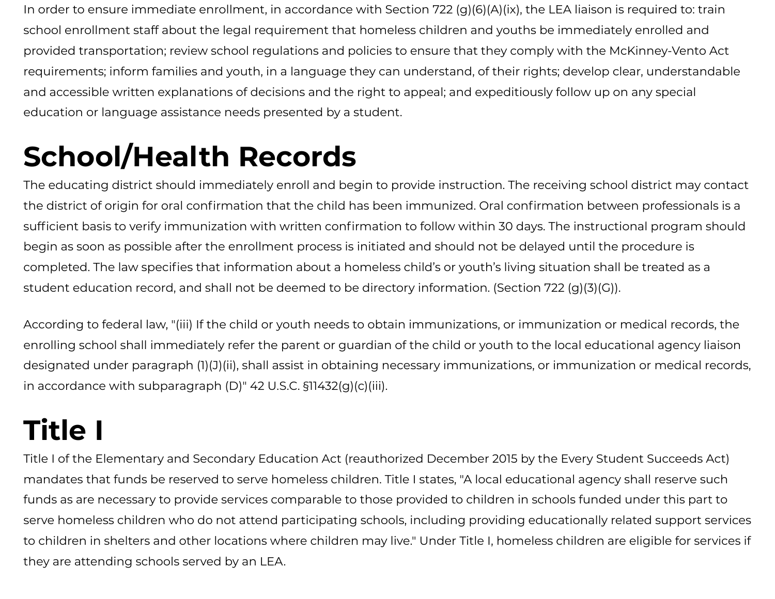In order to ensure immediate enrollment, in accordance with Section 722 (g)(6)(A)(ix), the LEA liaison is required to: train school enrollment staff about the legal requirement that homeless children and youths be immediately enrolled and provided transportation; review school regulations and policies to ensure that they comply with the McKinney-Vento Act requirements; inform families and youth, in a language they can understand, of their rights; develop clear, understandable and accessible written explanations of decisions and the right to appeal; and expeditiously follow up on any special education or language assistance needs presented by a student.

# **School/Health Records**

The educating district should immediately enroll and begin to provide instruction. The receiving school district may contact the district of origin for oral confirmation that the child has been immunized. Oral confirmation between professionals is a sufficient basis to verify immunization with written confirmation to follow within 30 days. The instructional program should begin as soon as possible after the enrollment process is initiated and should not be delayed until the procedure is completed. The law specifies that information about a homeless child's or youth's living situation shall be treated as a student education record, and shall not be deemed to be directory information. (Section 722 (g)(3)(G)).

According to federal law, "(iii) If the child or youth needs to obtain immunizations, or immunization or medical records, the enrolling school shall immediately refer the parent or guardian of the child or youth to the local educational agency liaison designated under paragraph (1)(J)(ii), shall assist in obtaining necessary immunizations, or immunization or medical records, in accordance with subparagraph (D)" 42 U.S.C. §11432(g)(c)(iii).

# **Title I**

Title I of the Elementary and Secondary Education Act (reauthorized December 2015 by the Every Student Succeeds Act) mandates that funds be reserved to serve homeless children. Title I states, "A local educational agency shall reserve such funds as are necessary to provide services comparable to those provided to children in schools funded under this part to serve homeless children who do not attend participating schools, including providing educationally related support services to children in shelters and other locations where children may live." Under Title I, homeless children are eligible for services if they are attending schools served by an LEA.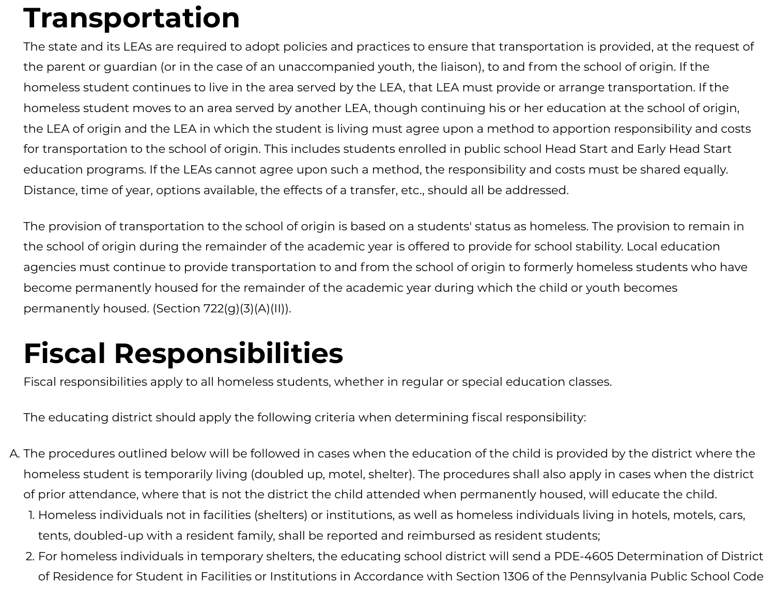## **Transportation**

The state and its LEAs are required to adopt policies and practices to ensure that transportation is provided, at the request of the parent or guardian (or in the case of an unaccompanied youth, the liaison), to and from the school of origin. If the homeless student continues to live in the area served by the LEA, that LEA must provide or arrange transportation. If the homeless student moves to an area served by another LEA, though continuing his or her education at the school of origin, the LEA of origin and the LEA in which the student is living must agree upon a method to apportion responsibility and costs for transportation to the school of origin. This includes students enrolled in public school Head Start and Early Head Start education programs. If the LEAs cannot agree upon such a method, the responsibility and costs must be shared equally. Distance, time of year, options available, the effects of a transfer, etc., should all be addressed.

The provision of transportation to the school of origin is based on a students' status as homeless. The provision to remain in the school of origin during the remainder of the academic year is offered to provide for school stability. Local education agencies must continue to provide transportation to and from the school of origin to formerly homeless students who have become permanently housed for the remainder of the academic year during which the child or youth becomes permanently housed. (Section 722(g)(3)(A)(II)).

## **Fiscal Responsibilities**

Fiscal responsibilities apply to all homeless students, whether in regular or special education classes.

The educating district should apply the following criteria when determining fiscal responsibility:

- A. The procedures outlined below will be followed in cases when the education of the child is provided by the district where the homeless student is temporarily living (doubled up, motel, shelter). The procedures shall also apply in cases when the district of prior attendance, where that is not the district the child attended when permanently housed, will educate the child.
	- 1. Homeless individuals not in facilities (shelters) or institutions, as well as homeless individuals living in hotels, motels, cars, tents, doubled-up with a resident family, shall be reported and reimbursed as resident students;
	- 2. For homeless individuals in temporary shelters, the educating school district will send a PDE-4605 Determination of District of Residence for Student in Facilities or Institutions in Accordance with Section 1306 of the Pennsylvania Public School Code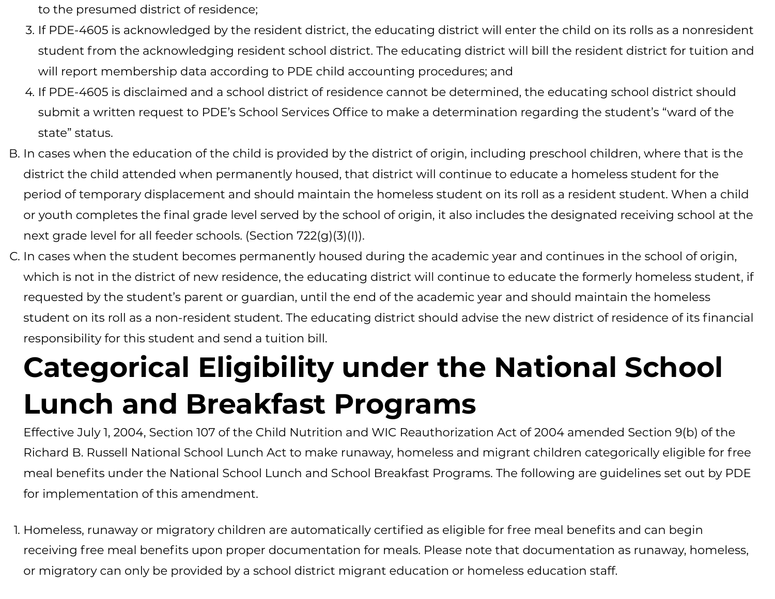to the presumed district of residence;

- 3. If PDE-4605 is acknowledged by the resident district, the educating district will enter the child on its rolls as a nonresident student from the acknowledging resident school district. The educating district will bill the resident district for tuition and will report membership data according to PDE child accounting procedures; and
- 4. If PDE-4605 is disclaimed and a school district of residence cannot be determined, the educating school district should submit a written request to PDE's School Services Office to make a determination regarding the student's "ward of the state" status.
- B. In cases when the education of the child is provided by the district of origin, including preschool children, where that is the district the child attended when permanently housed, that district will continue to educate a homeless student for the period of temporary displacement and should maintain the homeless student on its roll as a resident student. When a child or youth completes the final grade level served by the school of origin, it also includes the designated receiving school at the next grade level for all feeder schools. (Section 722(g)(3)(I)).
- C. In cases when the student becomes permanently housed during the academic year and continues in the school of origin, which is not in the district of new residence, the educating district will continue to educate the formerly homeless student, if requested by the student's parent or guardian, until the end of the academic year and should maintain the homeless student on its roll as a non-resident student. The educating district should advise the new district of residence of its financial responsibility for this student and send a tuition bill.

# **Categorical Eligibility under the National School Lunch and Breakfast Programs**

Effective July 1, 2004, Section 107 of the Child Nutrition and WIC Reauthorization Act of 2004 amended Section 9(b) of the Richard B. Russell National School Lunch Act to make runaway, homeless and migrant children categorically eligible for free meal benefits under the National School Lunch and School Breakfast Programs. The following are guidelines set out by PDE for implementation of this amendment.

1. Homeless, runaway or migratory children are automatically certified as eligible for free meal benefits and can begin receiving free meal benefits upon proper documentation for meals. Please note that documentation as runaway, homeless, or migratory can only be provided by a school district migrant education or homeless education staff.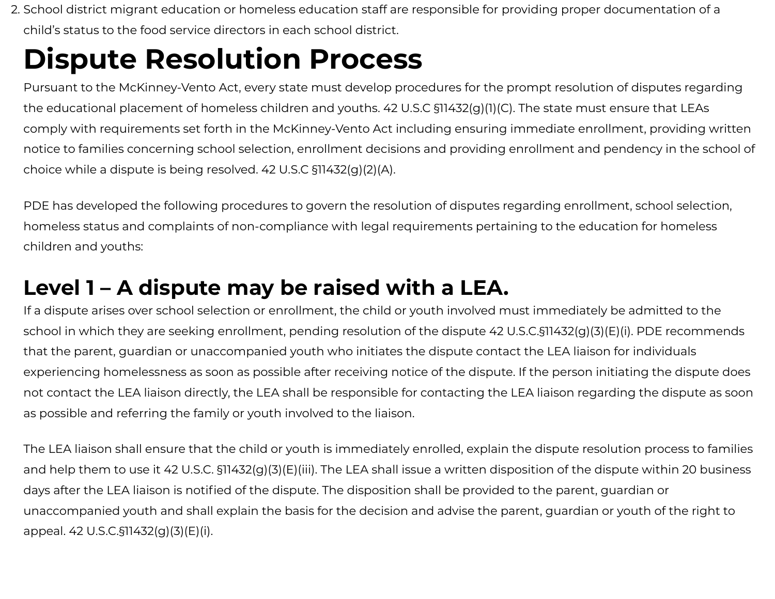2. School district migrant education or homeless education staff are responsible for providing proper documentation of a child's status to the food service directors in each school district.

## **Dispute Resolution Process**

Pursuant to the McKinney-Vento Act, every state must develop procedures for the prompt resolution of disputes regarding the educational placement of homeless children and youths. 42 U.S.C §11432(g)(1)(C). The state must ensure that LEAs comply with requirements set forth in the McKinney-Vento Act including ensuring immediate enrollment, providing written notice to families concerning school selection, enrollment decisions and providing enrollment and pendency in the school of choice while a dispute is being resolved. 42 U.S.C §11432(g)(2)(A).

PDE has developed the following procedures to govern the resolution of disputes regarding enrollment, school selection, homeless status and complaints of non-compliance with legal requirements pertaining to the education for homeless children and youths:

### **Level 1 – A dispute may be raised with a LEA.**

If a dispute arises over school selection or enrollment, the child or youth involved must immediately be admitted to the school in which they are seeking enrollment, pending resolution of the dispute 42 U.S.C.§11432(g)(3)(E)(i). PDE recommends that the parent, guardian or unaccompanied youth who initiates the dispute contact the LEA liaison for individuals experiencing homelessness as soon as possible after receiving notice of the dispute. If the person initiating the dispute does not contact the LEA liaison directly, the LEA shall be responsible for contacting the LEA liaison regarding the dispute as soon as possible and referring the family or youth involved to the liaison.

The LEA liaison shall ensure that the child or youth is immediately enrolled, explain the dispute resolution process to families and help them to use it 42 U.S.C. §11432(g)(3)(E)(iii). The LEA shall issue a written disposition of the dispute within 20 business days after the LEA liaison is notified of the dispute. The disposition shall be provided to the parent, quardian or unaccompanied youth and shall explain the basis for the decision and advise the parent, guardian or youth of the right to appeal. 42 U.S.C.§11432(g)(3)(E)(i).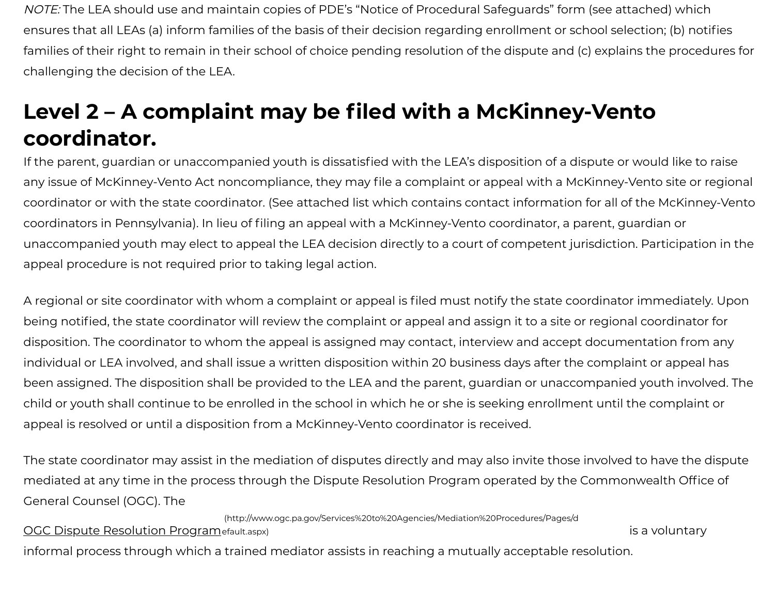NOTE: The LEA should use and maintain copies of PDE's "Notice of Procedural Safeguards" form (see attached) which ensures that all LEAs (a) inform families of the basis of their decision regarding enrollment or school selection; (b) notifies families of their right to remain in their school of choice pending resolution of the dispute and (c) explains the procedures for challenging the decision of the LEA.

### **Level 2 – A complaint may be led with a McKinney-Vento coordinator.**

If the parent, quardian or unaccompanied youth is dissatisfied with the LEA's disposition of a dispute or would like to raise any issue of McKinney-Vento Act noncompliance, they may file a complaint or appeal with a McKinney-Vento site or regional coordinator or with the state coordinator. (See attached list which contains contact information for all of the McKinney-Vento coordinators in Pennsylvania). In lieu of filing an appeal with a McKinney-Vento coordinator, a parent, guardian or unaccompanied youth may elect to appeal the LEA decision directly to a court of competent jurisdiction. Participation in the appeal procedure is not required prior to taking legal action.

A regional or site coordinator with whom a complaint or appeal is filed must notify the state coordinator immediately. Upon being notified, the state coordinator will review the complaint or appeal and assign it to a site or regional coordinator for disposition. The coordinator to whom the appeal is assigned may contact, interview and accept documentation from any individual or LEA involved, and shall issue a written disposition within 20 business days after the complaint or appeal has been assigned. The disposition shall be provided to the LEA and the parent, guardian or unaccompanied youth involved. The child or youth shall continue to be enrolled in the school in which he or she is seeking enrollment until the complaint or appeal is resolved or until a disposition from a McKinney-Vento coordinator is received.

The state coordinator may assist in the mediation of disputes directly and may also invite those involved to have the dispute mediated at any time in the process through the Dispute Resolution Program operated by the Commonwealth Office of General Counsel (OGC). The

[\(http://www.ogc.pa.gov/Services%20to%20Agencies/Mediation%20Procedures/Pages/d](http://www.ogc.pa.gov/Services%20to%20Agencies/Mediation%20Procedures/Pages/default.aspx)

OGC Dispute Resolution Programefault.aspx)

is a voluntary

informal process through which a trained mediator assists in reaching a mutually acceptable resolution.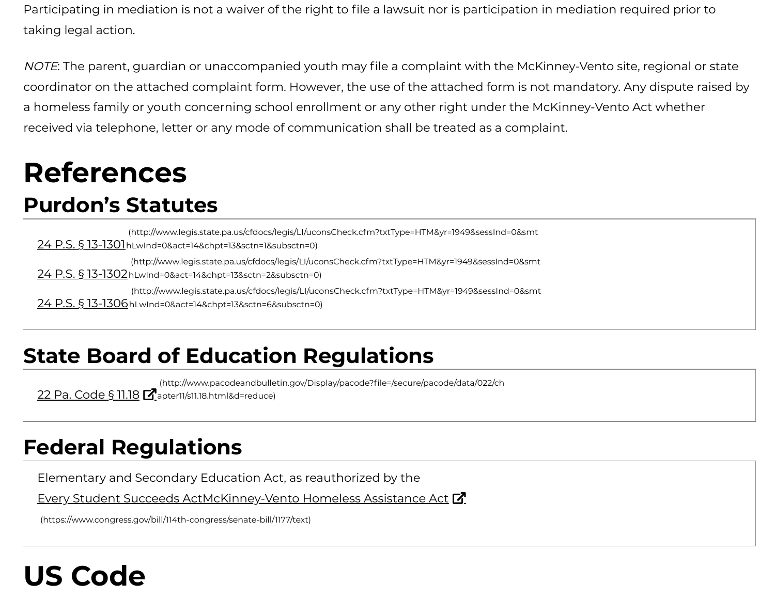Participating in mediation is not a waiver of the right to file a lawsuit nor is participation in mediation required prior to taking legal action.

NOTE: The parent, guardian or unaccompanied youth may file a complaint with the McKinney-Vento site, regional or state coordinator on the attached complaint form. However, the use of the attached form is not mandatory. Any dispute raised by a homeless family or youth concerning school enrollment or any other right under the McKinney-Vento Act whether received via telephone, letter or any mode of communication shall be treated as a complaint.

## **References**

#### **Purdon's Statutes**

24 P.S. § 13-1301 hLwInd=0&act=14&chpt=13&sctn=1&subsctn=0) [\(http://www.legis.state.pa.us/cfdocs/legis/LI/uconsCheck.cfm?txtType=HTM&yr=1949&sessInd=0&smt](http://www.legis.state.pa.us/cfdocs/legis/LI/uconsCheck.cfm?txtType=HTM&yr=1949&sessInd=0&smthLwInd=0&act=14&chpt=13&sctn=1&subsctn=0) 24 P.S. § 13-1302 hLwInd=0&act=14&chpt=13&sctn=2&subsctn=0) [\(http://www.legis.state.pa.us/cfdocs/legis/LI/uconsCheck.cfm?txtType=HTM&yr=1949&sessInd=0&smt](http://www.legis.state.pa.us/cfdocs/legis/LI/uconsCheck.cfm?txtType=HTM&yr=1949&sessInd=0&smthLwInd=0&act=14&chpt=13&sctn=2&subsctn=0) 24 P.S. § 13-1306 hLwInd=0&act=14&chpt=13&sctn=6&subsctn=0) [\(http://www.legis.state.pa.us/cfdocs/legis/LI/uconsCheck.cfm?txtType=HTM&yr=1949&sessInd=0&smt](http://www.legis.state.pa.us/cfdocs/legis/LI/uconsCheck.cfm?txtType=HTM&yr=1949&sessInd=0&smthLwInd=0&act=14&chpt=13&sctn=6&subsctn=0)

### **State Board of Education Regulations**

22 Pa. Code § 11.18  $Z$ apter11/s11.18.html&d=reduce) (http://www.pacodeandbulletin.gov/Display/pacode?file=/secure/pacode/data/022/ch

#### **Federal Regulations**

Elementary and Secondary Education Act, as reauthorized by the

Every Student Succeeds ActMcKinney-Vento Homeless Assistance Act **M** 

[\(https://www.congress.gov/bill/114th-congress/senate-bill/1177/text\)](https://www.congress.gov/bill/114th-congress/senate-bill/1177/text)

# **US Code**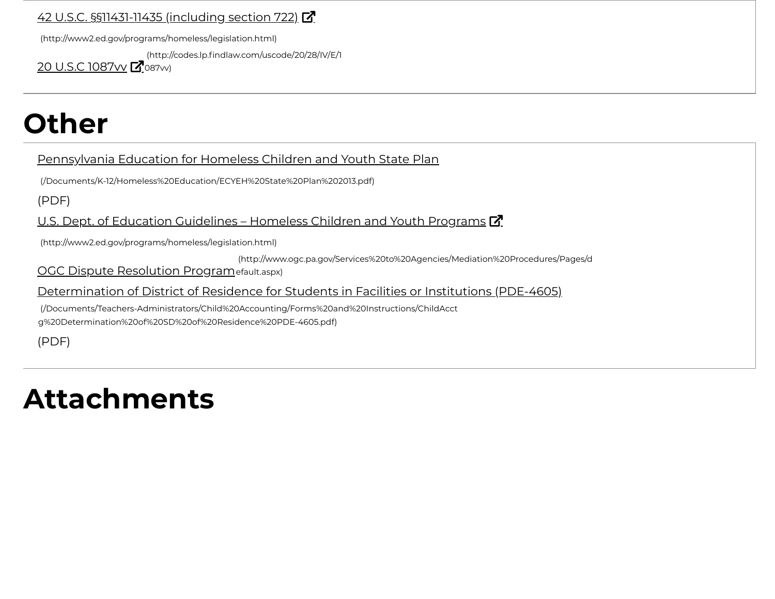#### 42 U.S.C. §§11431-11435 (including section 722) [7]

[\(http://www2.ed.gov/programs/homeless/legislation.html\)](http://www2.ed.gov/programs/homeless/legislation.html)

(http://codes.lp.findlaw.com/uscode/20/28/IV/E/1

20 U.S.C 1087vv **M**o87vv)

## **Other**

#### Pennsylvania Education for Homeless Children and Youth State Plan

[\(/Documents/K-12/Homeless%20Education/ECYEH%20State%20Plan%202013.pdf\)](https://www.education.pa.gov/Documents/K-12/Homeless%20Education/ECYEH%20State%20Plan%202013.pdf)

(PDF)

U.S. Dept. of Education Guidelines – Homeless Children and Youth Programs  $\vec{a}$ 

[\(http://www2.ed.gov/programs/homeless/legislation.html\)](http://www2.ed.gov/programs/homeless/legislation.html)

[\(http://www.ogc.pa.gov/Services%20to%20Agencies/Mediation%20Procedures/Pages/d](http://www.ogc.pa.gov/Services%20to%20Agencies/Mediation%20Procedures/Pages/default.aspx)

OGC Dispute Resolution Programefault.aspx)

Determination of District of Residence for Students in Facilities or Institutions (PDE-4605)

[\(/Documents/Teachers-Administrators/Child%20Accounting/Forms%20and%20Instructions/ChildAcct](https://www.education.pa.gov/Documents/Teachers-Administrators/Child%20Accounting/Forms%20and%20Instructions/ChildAcctg%20Determination%20of%20SD%20of%20Residence%20PDE-4605.pdf) g%20Determination%20of%20SD%20of%20Residence%20PDE-4605.pdf)

(PDF)

## **Attachments**